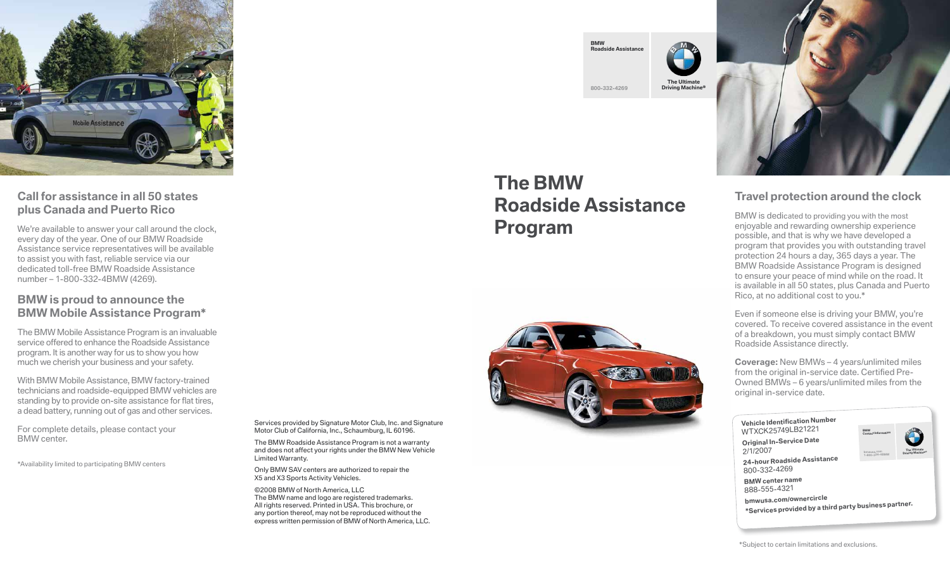

# **Call for assistance in all 50 states plus Canada and Puerto Rico**

We're available to answer your call around the clock, every day of the year. One of our BMW Roadside Assistance service representatives will be available to assist you with fast, reliable service via our dedicated toll-free BMW Roadside Assistance number – 1-800-332-4BMW (4269).

# **BMW is proud to announce the BMW Mobile Assistance Program\***

The BMW Mobile Assistance Program is an invaluable service offered to enhance the Roadside Assistance program. It is another way for us to show you how much we cherish your business and your safety.

With BMW Mobile Assistance, BMW factory-trained technicians and roadside-equipped BMW vehicles are standing by to provide on-site assistance for flat tires, a dead battery, running out of gas and other services.

For complete details, please contact your BMW center.

\*Availability limited to participating BMW centers

**BMW Roadside Assistance 800-332-4269 The Ultimate Driving Machine®**

# **The BMW Roadside Assistance Program**





# **Travel protection around the clock**

BMW is dedicated to providing you with the most enjoyable and rewarding ownership experience possible, and that is why we have developed a program that provides you with outstanding travel protection 24 hours a day, 365 days a year. The BMW Roadside Assistance Program is designed to ensure your peace of mind while on the road. It is available in all 50 states, plus Canada and Puerto Rico, at no additional cost to you.\*

Even if someone else is driving your BMW, you're covered. To receive covered assistance in the event of a breakdown, you must simply contact BMW Roadside Assistance directly.

**Coverage:** New BMWs – 4 years/unlimited miles from the original in-service date. Certified Pre-Owned BMWs – 6 years/unlimited miles from the original in-service date.

| <b>Vehicle Identification Number</b><br>WTXCK25749LB21221 | <b>BMW</b><br>Contact Inform |
|-----------------------------------------------------------|------------------------------|
| <b>Original In-Service Date</b><br>2/1/2007               | hmwusa.com<br>1-800-334-4B   |
| 24-hour Roadside Assistance<br>800-332-4269               |                              |
| <b>BMW center name</b><br>888-555-4321                    |                              |
| bmwusa.com/ownercircle                                    | .                            |

**Contact Information 1-800-334-4BMW The Ultimate Driving Machine®**

**bmwusa.com/ownercircle \*Services provided by a third party business partner.**

Services provided by Signature Motor Club, Inc. and Signature Motor Club of California, Inc., Schaumburg, IL 60196.

The BMW Roadside Assistance Program is not a warranty and does not affect your rights under the BMW New Vehicle Limited Warranty.

Only BMW SAV centers are authorized to repair the X5 and X3 Sports Activity Vehicles.

©2008 BMW of North America, LLC The BMW name and logo are registered trademarks. All rights reserved. Printed in USA. This brochure, or any portion thereof, may not be reproduced without the express written permission of BMW of North America, LLC.